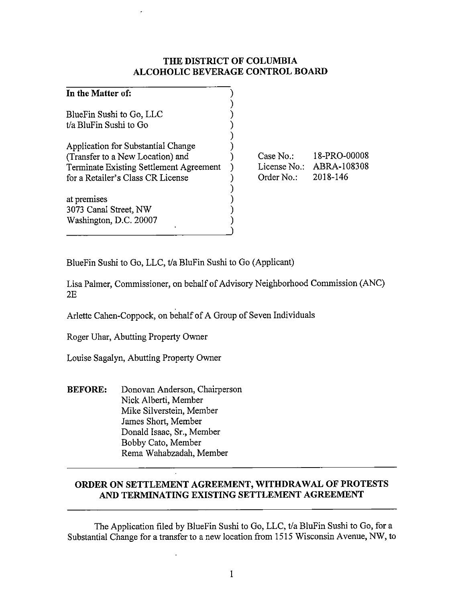## **THE DISTRICT OF COLUMBIA ALCOHOLIC BEVERAGE CONTROL BOARD**

| In the Matter of:                                  |              |              |
|----------------------------------------------------|--------------|--------------|
| BlueFin Sushi to Go, LLC<br>t/a BluFin Sushi to Go |              |              |
|                                                    |              |              |
| Application for Substantial Change                 |              |              |
| (Transfer to a New Location) and                   | Case $No:$   | 18-PRO-00008 |
| Terminate Existing Settlement Agreement            | License No.: | ABRA-108308  |
| for a Retailer's Class CR License                  | Order No.:   | 2018-146     |
|                                                    |              |              |
| at premises                                        |              |              |
| 3073 Canal Street, NW                              |              |              |
| Washington, D.C. 20007                             |              |              |
|                                                    |              |              |

BlueFin Sushi to Go, LLC, t/a BluFin Sushi to Go (Applicant)

Lisa Palmer, Commissioner, on behalf of Advisory Neighborhood Commission (ANC) 2E

Arlette Cahen-Coppock, on behalf of A Group of Seven Individuals

Roger Uhar, Abutting Property Owner

Louise Sagalyn, Abutting Property Owner

**BEFORE:** Donovan Anderson, Chairperson Nick Alberti, Member Mike Silverstein, Member James Short, Member Donald Isaac, Sr., Member Bobby Cato, Member Rema Wahabzadah, Member

# **ORDER ON SETTLEMENT AGREEMENT, WITHDRAWAL OF PROTESTS AND TERMINATING EXISTING SETTLEMENT AGREEMENT**

The Application filed by BlueFin Sushi to Go, LLC, t/a BluFin Sushi to Go, for a Substantial Change for a transfer to a new location from 1515 Wisconsin Avenue, NW, to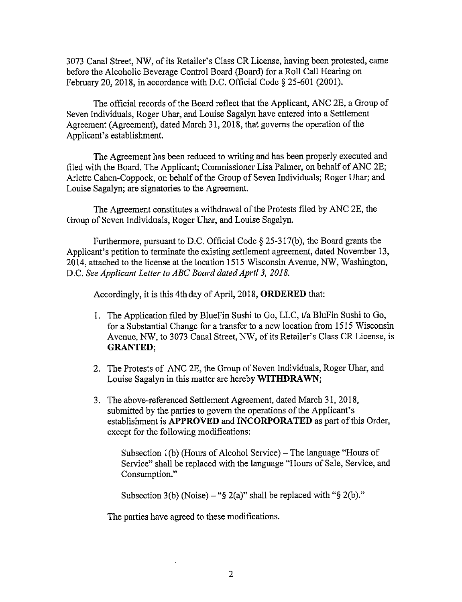3073 Canal Street, NW, of its Retailer's Class CR License, having been protested, came before the Alcoholic Beverage Control Board (Board) for a Roll Call Hearing on February 20, 2018, in accordance with D.C. Official Code§ 25-601 (2001).

The official records of the Board reflect that the Applicant, ANC 2E, a Group of Seven Individuals, Roger Uhar, and Louise Sagalyn have entered into a Settlement Agreement (Agreement), dated March 31, 2018, that governs the operation of the Applicant's establishment.

The Agreement has been reduced to writing and has been properly executed and filed with the Board. The Applicant; Commissioner Lisa Palmer, on behalf of ANC 2E; Arlette Cahen-Coppock, on behalf of the Group of Seven Individuals; Roger Uhar; and Louise Sagalyn; are signatories to the Agreement.

The Agreement constitutes a withdrawal of the Protests filed by ANC 2E, the Group of Seven Individuals, Roger Uhar, and Louise Sagalyn.

Furthermore, pursuant to D.C. Official Code  $\S$  25-317(b), the Board grants the Applicant's petition to terminate the existing settlement agreement, dated November 13, 2014, attached to the license at the location 1515 Wisconsin A venue, NW, Washington, D.C. *See Applicant Letter to ABC Board dated April 3, 2018.* 

Accordingly, it is this 4th day of April, 2018, **ORDERED** that:

- 1. The Application filed by BlueFin Sushi to Go, LLC, t/a BluFin Sushi to Go, for a Substantial Change for a transfer to a new location from 1515 Wisconsin Avenue, NW, to 3073 Canal Street, NW, of its Retailer's Class CR License, is **GRANTED;**
- 2. The Protests of ANC 2E, the Group of Seven Individuals, Roger Uhar, and Louise Sagalyn in this matter are hereby **WITHDRAWN;**
- 3. The above-referenced Settlement Agreement, dated March 31, 2018, submitted by the parties to govern the operations of the Applicant's establishment is **APPROVED and INCORPORATED** as part of this Order, except for the following modifications:

Subsection 1(b) (Hours of Alcohol Service) – The language "Hours of Service" shall be replaced with the language "Hours of Sale, Service, and Consumption."

Subsection 3(b) (Noise)  $-$  "§ 2(a)" shall be replaced with "§ 2(b)."

The parties have agreed to these modifications.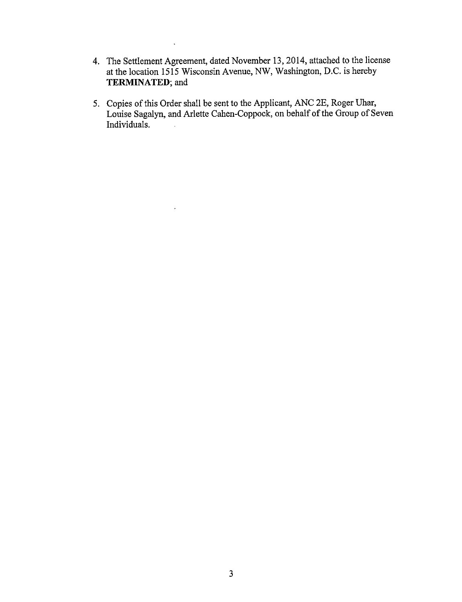4. The Settlement Agreement, dated November 13, 2014, attached to the license at the location 1515 Wisconsin Avenue, NW, Washington, D.C. is hereby **TERMINATED;** and

 $\ddot{\phantom{a}}$ 

 $\Box$ 

5. Copies of this Order shall be sent to the Applicant, ANC 2E, Roger Uhar, Louise Sagalyn, and Arlette Cahen-Coppock, on behalf of the Group of Seven Individuals.  $\mathbb{R}^2$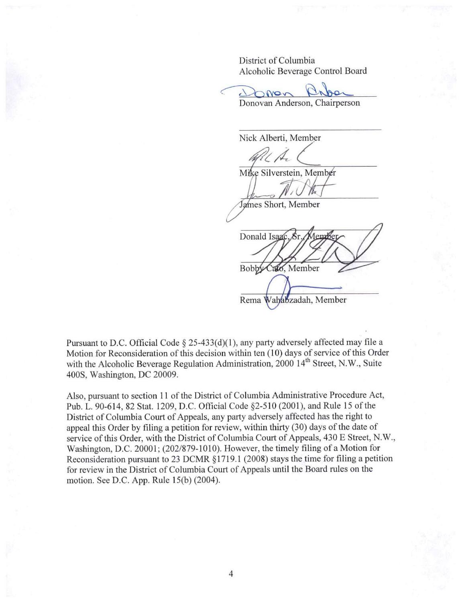District of Columbia

Alcoholic Beverage Control Board<br>
Donovan Anderson, Chairperson Donovan Anderson, Chairperson  $\bigcap$ Nor

Nick Alberti, Member

 $\mathscr{R}(\mathcal{A})$ Mike Silverstein, Member

James Short, Member

Donald Isaac Cato, Member **Bobby Rema Wahabzadah**, Member

Pursuant to D.C. Official Code  $\S$  25-433(d)(1), any party adversely affected may file a Motion for Reconsideration of this decision within ten (10) days of service of this Order with the Alcoholic Beverage Regulation Administration, 2000 14<sup>th</sup> Street, N.W., Suite 400S, Washington, DC 20009.

Also, pursuant to section 11 of the District of Columbia Administrative Procedure Act, Pub. L. 90-614, 82 Stat. 1209, D.C. Official Code §2-510 (2001), and Rule 15 of the District of Columbia Court of Appeals, any party adversely affected has the right to appeal this Order by filing a petition for review, within thirty (30) days of the date of service of this Order, with the District of Columbia Court of Appeals, 430 E Street, N.W., Washington, D.C. 20001; (202/879-1010). However, the timely filing of a Motion for Reconsideration pursuant to 23 DCMR § 1719. 1 (2008) stays the time for filing a petition for review in the District of Columbia Court of Appeals until the Board rules on the motion. See D.C. App. Rule 15(b) (2004).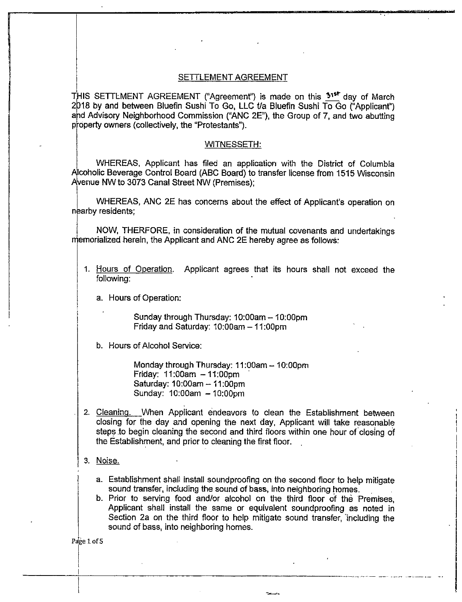### SETTLEMENT AGREEMENT

THIS SETTLMENT AGREEMENT ("Agreement") is made on this  $51<sup>57</sup>$  day of March  $2018$  by and between Bluefin Sushi To Go, LLC t/a Bluefin Sushi To Go ("Applicant") and Advisory Neighborhood Commission ("ANC 2E"), the Group of 7, and two abutting property owners (collectively, the "Protestants").

#### WITNESSETH:

WHEREAS, Applicant has filed an application with the District of Columbia f\lcoholic Beverage Control Board (ABC Board) to transfer license from 1515 Wisconsin A venue NW to 3073 Canal Street NW (Premises);

WHEREAS, ANC 2E has concerns about the effect of Applicant's operation on nearby residents;

NOW, THERFORE, in consideration of the mutual covenants and undertakings emorialized herein, the Applicant and ANC 2E hereby agree as follows:

1. Hours of Operation. Applicant agrees that its hours shall not exceed the following:

a. Hours of Operation:

Sunday through Thursday: 10:00am - 10:00pm Friday and Saturday:  $10:00$ am  $-11:00$ pm

b. Hours of Alcohol Service:

Monday through Thursday:  $11:00$ am  $-10:00$ pm Friday:  $11:00am - 11:00pm$ Saturday: 10:00am - 11 :00pm Sunday: 10:00am - 10:00pm

- 2. Cleaning. When Applicant endeavors to clean the Establishment between closing for the day and opening the next day, Applicant will take reasonable steps to begin cleaning the second and third floors within one hour of closing of the Establishment, and prior to cleaning the first floor.
- 3. Noise.
	- a. Establishment shall install soundproofing on the second floor to help mitigate sound transfer, including the sound of bass, into neighboring homes.
	- b. Prior to serving food and/or alcohol on the third floor of the Premises, Applicant shall install the same or equivalent soundproofing as noted in Section 2a on the third floor to help mitigate sound transfer, including the sound of bass, into neighboring homes.

<sup>I</sup>-----+-------------------------....... --------··--·••·-•"· -·

 $\mathcal{L} = \mathcal{L} \mathcal{L} = \mathcal{L} \mathcal{L} \mathcal{L} = \mathcal{L} \mathcal{L} \mathcal{L} \mathcal{L} \mathcal{L}$ 

Page 1 of 5

 $\vert$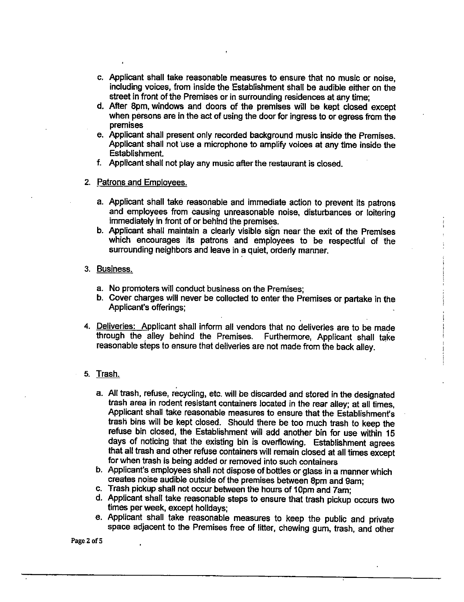- c. Applicant shall take reasonable measures to ensure that no music or noise, including voices, from inside the Establishment shall be audible either on the street in front of the Premises or in surrounding residences at any time;
- d. After 8pm, windows and doors of the premises will be kept closed except when persons are in the act of using the door for ingress to or egress from the premises
- e. Applicant shall present only recorded background music inside the Premises. Applicant shall not use a microphone to amplify voices at any time inside the Establishment.
- f. Applicant shall not play any music after the restaurant is closed.
- 2. Patrons and Employees.
	- a. Applicant shall take reasonable and immediate action to prevent its patrons and employees from causing unreasonable noise, disturbances or loitering immediately in front of or behind the premises.
	- b. Applicant shall maintain a clearly visible sign near the exit of the Premises which encourages its patrons and employees to be respectful of the surrounding neighbors and leave in a quiet, orderly manner.
- 3. Business.
	- a. No promoters will conduct business on the Premises;
	- b. Cover charges will never be collected to enter the Premises or partake in the Applicant's offerings;
- 4. Deliveries: Applicant shall inform all vendors that no deliveries are to be made through the alley behind the Premises. Furthermore, Applicant shall take reasonable steps to ensure that deliveries are not made from the back alley.
- 5. Trash.
	- a. All trash, refuse, recycling, etc. will be discarded and stored in the designated trash area in rodent resistant containers located in the rear alley; at all times, Applicant shall take reasonable measures to ensure that the Establishment's trash bins will be kept closed. Should there be too much trash to keep the refuse bin closed, the Establishment will add another bin for use within 15 days of noticing that the existing bin is overflowing. Establishment agrees that all trash and other refuse containers will remain closed at all times except for when trash is being added or removed into such containers
	- b. Applicant's employees shall not dispose of bottles or glass in a manner which creates noise audible outside of the premises between 8pm and 9am;
	- c. Trash pickup shall not occur between the hours of 10pm and 7am;
	- d. Applicant shall take reasonable steps to ensure that trash pickup occurs two times per week, except holidays;
	- e. Applicant shall take reasonable measures to keep the public and private space adjacent to the Premises free of litter, chewing gum, trash, and other

Page 2 of 5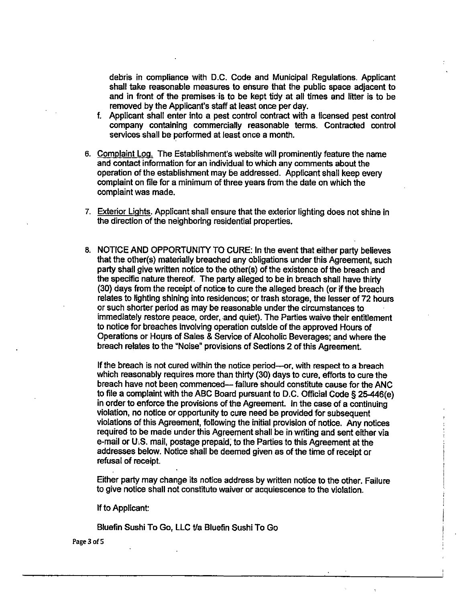debris in compliance with D.C. Code and Municipal Regulations. Applicant shall take reasonable measures to ensure that the public space adjacent to and in front of the premises is to be kept tidy at all times and litter is to be removed by the Applicant's staff at least once per day.

- f. Applicant shall enter into a pest control contract with a licensed pest control company containing commercially reasonable terms. Contracted control services shall be performed at least once a month.
- 6. Complaint Log. The Establishment's website will prominently feature the name and contact information for an individual to which any comments about the operation of the establishment may be addressed. Applicant shall keep every complaint on file for a minimum of three years from the date on which the complaint was made.
- 7. Exterior Lights. Applicant shall ensure that the exterior lighting does not shine in the direction of the neighboring residential properties.
- B. NOTICE AND OPPORTUNITY TO CURE: In the event that.either party believes that the other(s) materially breached any obligations under this Agreement, such party shall give written notice to the other(s) of the existence of the breach and the specific nature thereof. The party alleged to be in breach shall have thirty (30) days from the receipt of notice to cure the alleged breach (or if the breach relates to lighting shining into residences; or trash storage, the lesser of 72 hours or such shorter period as may be reasonable under the circumstances to immediately restore peace, order, and quiet). The Parties waive their entitlement to notice for breaches involving operation outside of the approved Hours of Operations or Hours of Sales & Service of Alcoholic Beverages; and where the breach relates to the "Noise" provisions of Sections 2 of this Agreement.

If the breach is not cured within the notice period-or, with respect to a breach which reasonably requires more than thirty (30) days to cure, efforts to cure the breach have not been commenced- failure should constitute cause for the ANG to file a complaint with the ABC Board pursuant to D.C. Official Code § 25-446(e) in order to enforce the provisions of the Agreement. In the case of a continuing violation, no notice or opportunity to cure need be provided for subsequent violations of this Agreement, following the initial provision of notice. Any notices required to be made under this Agreement shall be in writing and sent either via e-mail or U.S. mail, postage prepaid; to the Parties to this Agreement at the addresses below. Notice shall be deemed given as of the time of receipt or refusal of receipt.

Either party may change its notice address by written notice to the other. Failure to give notice shall not constitute waiver or acquiescence to the violation.

If to Applicant:

Bluefin Sushi To Go, LLC t/a Bluefin Sushi To Go

Page 3 of 5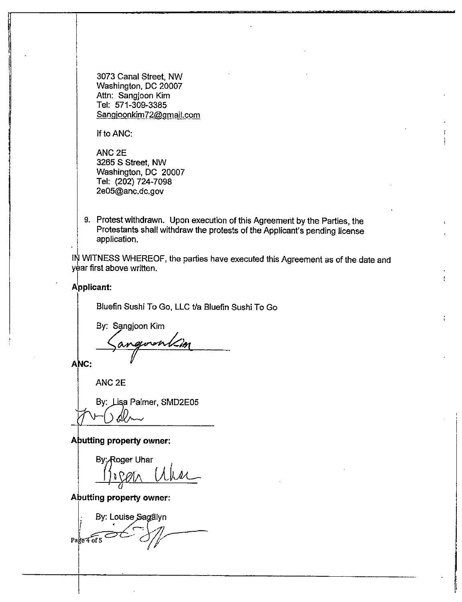3073 Canal Street, NW Washington, DC 20007 Attn: Sangjoon Kim Tel: 571-309-3385 Sangjoonkim72@gmail.com

If to ANC:

ANC2E 3265 S Street, NW Washington, DC 20007 Tel: (202) 724-7098 2e05@anc.dc.gov

9. Protest withdrawn. Upon execution of this Agreement by the Parties, the Protestants shall withdraw the protests of the Applicant's pending license application.

 $I\overset{\text{def}}{N}$  WITNESS WHEREOF, the parties have executed this Agreement as of the date and year first above written.

### Applicant:

Bluefin Sushi To Go, LLC t/a Bluefin Sushi To Go

By: Sangjoon Kim

**ANC:** 

ANC<sub>2E</sub>

By: Lisa Palmer, SMD2E05 12-6 dem

**Abutting property owner:** 

By: Roger Uhar  $\lambda$  alber

**Abutting property owner:** 

By: Louise Sagalyn Page 4 of 5